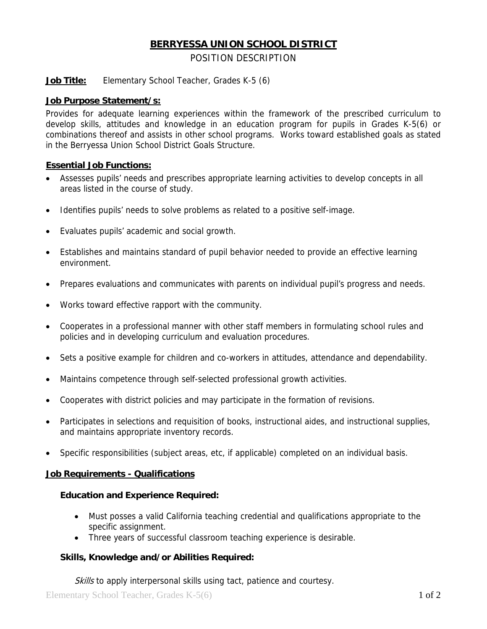# **BERRYESSA UNION SCHOOL DISTRICT**

# POSITION DESCRIPTION

#### **Job Title:** Elementary School Teacher, Grades K-5 (6)

## **Job Purpose Statement/s:**

Provides for adequate learning experiences within the framework of the prescribed curriculum to develop skills, attitudes and knowledge in an education program for pupils in Grades K-5(6) or combinations thereof and assists in other school programs. Works toward established goals as stated in the Berryessa Union School District Goals Structure.

## **Essential Job Functions:**

- Assesses pupils' needs and prescribes appropriate learning activities to develop concepts in all areas listed in the course of study.
- Identifies pupils' needs to solve problems as related to a positive self-image.
- Evaluates pupils' academic and social growth.
- Establishes and maintains standard of pupil behavior needed to provide an effective learning environment.
- Prepares evaluations and communicates with parents on individual pupil's progress and needs.
- Works toward effective rapport with the community.
- Cooperates in a professional manner with other staff members in formulating school rules and policies and in developing curriculum and evaluation procedures.
- Sets a positive example for children and co-workers in attitudes, attendance and dependability.
- Maintains competence through self-selected professional growth activities.
- Cooperates with district policies and may participate in the formation of revisions.
- Participates in selections and requisition of books, instructional aides, and instructional supplies, and maintains appropriate inventory records.
- Specific responsibilities (subject areas, etc, if applicable) completed on an individual basis.

#### **Job Requirements - Qualifications**

#### **Education and Experience Required:**

- Must posses a valid California teaching credential and qualifications appropriate to the specific assignment.
- Three years of successful classroom teaching experience is desirable.

#### **Skills, Knowledge and/or Abilities Required:**

Skills to apply interpersonal skills using tact, patience and courtesy.